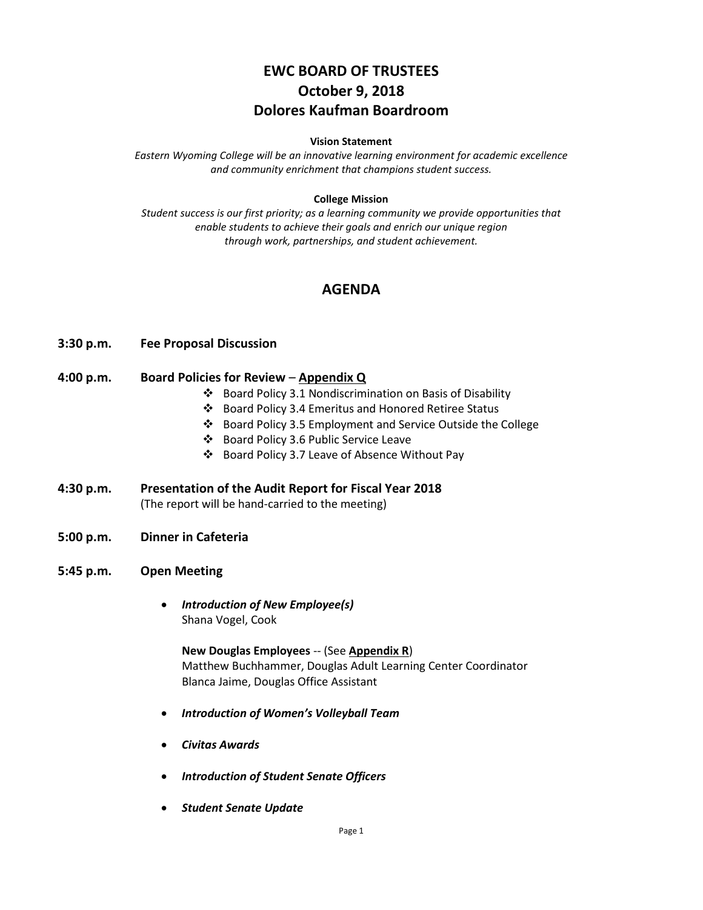# **EWC BOARD OF TRUSTEES October 9, 2018 Dolores Kaufman Boardroom**

#### **Vision Statement**

*Eastern Wyoming College will be an innovative learning environment for academic excellence and community enrichment that champions student success.*

#### **College Mission**

*Student success is our first priority; as a learning community we provide opportunities that enable students to achieve their goals and enrich our unique region through work, partnerships, and student achievement.*

# **AGENDA**

#### **3:30 p.m. Fee Proposal Discussion**

#### **4:00 p.m. Board Policies for Review** – **Appendix Q**

- Board Policy 3.1 Nondiscrimination on Basis of Disability
- Board Policy 3.4 Emeritus and Honored Retiree Status
- Board Policy 3.5 Employment and Service Outside the College
- Board Policy 3.6 Public Service Leave
- Board Policy 3.7 Leave of Absence Without Pay
- **4:30 p.m. Presentation of the Audit Report for Fiscal Year 2018** (The report will be hand-carried to the meeting)
- **5:00 p.m. Dinner in Cafeteria**
- **5:45 p.m. Open Meeting**
	- *Introduction of New Employee(s)* Shana Vogel, Cook

**New Douglas Employees** -- (See **Appendix R**) Matthew Buchhammer, Douglas Adult Learning Center Coordinator Blanca Jaime, Douglas Office Assistant

- *Introduction of Women's Volleyball Team*
- *Civitas Awards*
- *Introduction of Student Senate Officers*
- *Student Senate Update*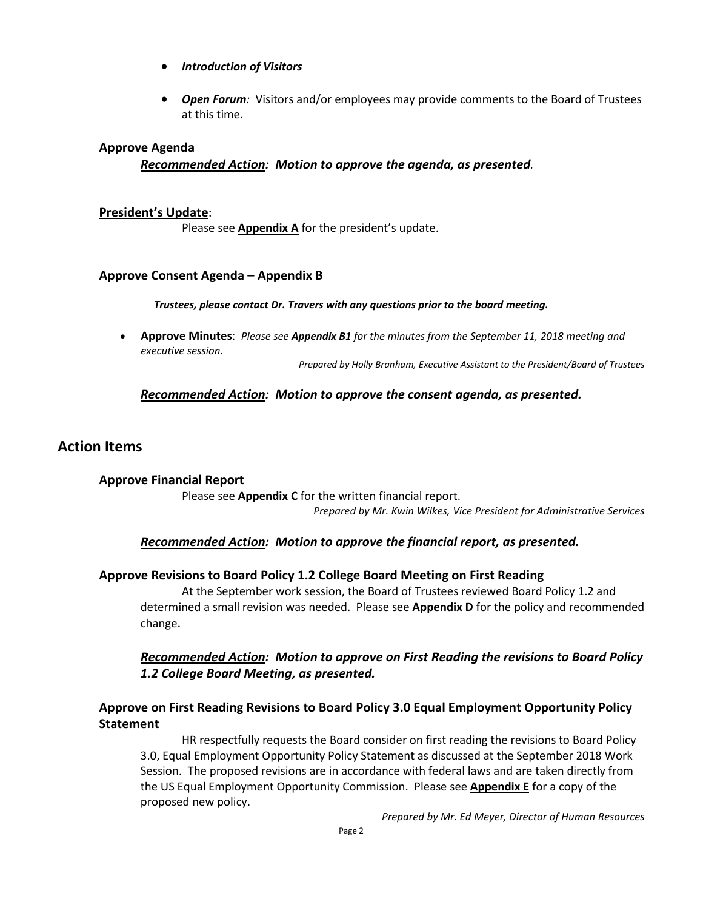- *Introduction of Visitors*
- *Open Forum:* Visitors and/or employees may provide comments to the Board of Trustees at this time.

### **Approve Agenda**

*Recommended Action: Motion to approve the agenda, as presented.*

### **President's Update**:

Please see **Appendix A** for the president's update.

### **Approve Consent Agenda** – **Appendix B**

*Trustees, please contact Dr. Travers with any questions prior to the board meeting.*

• **Approve Minutes**: *Please see Appendix B1 for the minutes from the September 11, 2018 meeting and executive session.*

*Prepared by Holly Branham, Executive Assistant to the President/Board of Trustees*

### *Recommended Action: Motion to approve the consent agenda, as presented.*

### **Action Items**

**Approve Financial Report** Please see **Appendix C** for the written financial report. *Prepared by Mr. Kwin Wilkes, Vice President for Administrative Services*

### *Recommended Action: Motion to approve the financial report, as presented.*

### **Approve Revisions to Board Policy 1.2 College Board Meeting on First Reading**

At the September work session, the Board of Trustees reviewed Board Policy 1.2 and determined a small revision was needed. Please see **Appendix D** for the policy and recommended change.

# *Recommended Action: Motion to approve on First Reading the revisions to Board Policy 1.2 College Board Meeting, as presented.*

# **Approve on First Reading Revisions to Board Policy 3.0 Equal Employment Opportunity Policy Statement**

HR respectfully requests the Board consider on first reading the revisions to Board Policy 3.0, Equal Employment Opportunity Policy Statement as discussed at the September 2018 Work Session. The proposed revisions are in accordance with federal laws and are taken directly from the US Equal Employment Opportunity Commission. Please see **Appendix E** for a copy of the proposed new policy.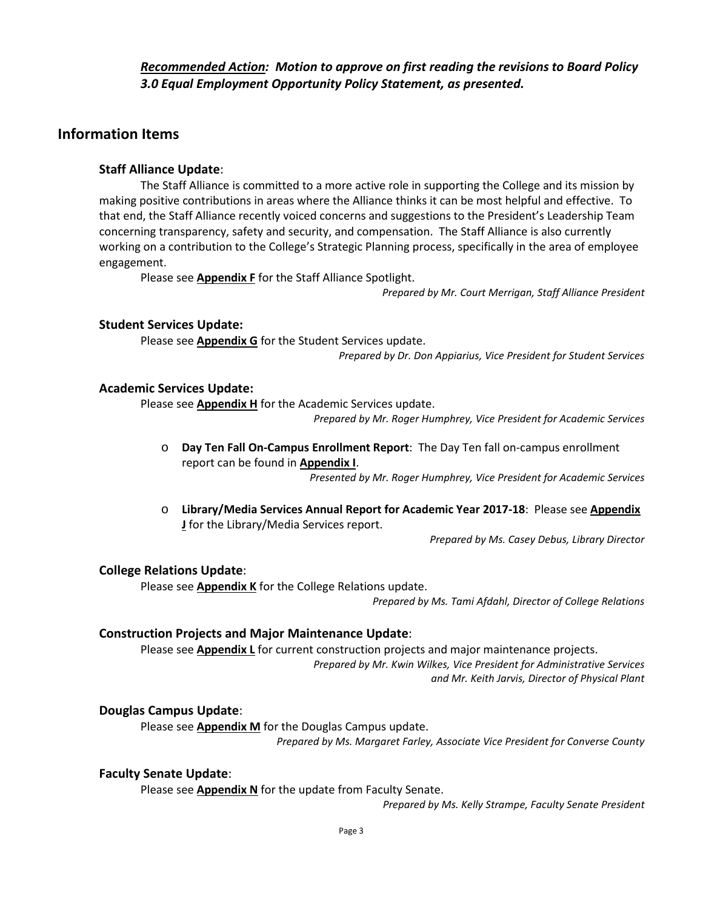### *Recommended Action: Motion to approve on first reading the revisions to Board Policy 3.0 Equal Employment Opportunity Policy Statement, as presented.*

# **Information Items**

### **Staff Alliance Update**:

The Staff Alliance is committed to a more active role in supporting the College and its mission by making positive contributions in areas where the Alliance thinks it can be most helpful and effective. To that end, the Staff Alliance recently voiced concerns and suggestions to the President's Leadership Team concerning transparency, safety and security, and compensation. The Staff Alliance is also currently working on a contribution to the College's Strategic Planning process, specifically in the area of employee engagement.

Please see **Appendix F** for the Staff Alliance Spotlight.

*Prepared by Mr. Court Merrigan, Staff Alliance President*

#### **Student Services Update:**

Please see **Appendix G** for the Student Services update. *Prepared by Dr. Don Appiarius, Vice President for Student Services*

#### **Academic Services Update:**

Please see **Appendix H** for the Academic Services update.

*Prepared by Mr. Roger Humphrey, Vice President for Academic Services*

o **Day Ten Fall On-Campus Enrollment Report**: The Day Ten fall on-campus enrollment report can be found in **Appendix I**.

*Presented by Mr. Roger Humphrey, Vice President for Academic Services*

o **Library/Media Services Annual Report for Academic Year 2017-18**: Please see **Appendix J** for the Library/Media Services report.

*Prepared by Ms. Casey Debus, Library Director*

#### **College Relations Update**:

Please see **Appendix K** for the College Relations update.

*Prepared by Ms. Tami Afdahl, Director of College Relations*

### **Construction Projects and Major Maintenance Update**:

Please see **Appendix L** for current construction projects and major maintenance projects. *Prepared by Mr. Kwin Wilkes, Vice President for Administrative Services and Mr. Keith Jarvis, Director of Physical Plant*

### **Douglas Campus Update**:

Please see **Appendix M** for the Douglas Campus update.

*Prepared by Ms. Margaret Farley, Associate Vice President for Converse County*

#### **Faculty Senate Update**:

Please see **Appendix N** for the update from Faculty Senate.

*Prepared by Ms. Kelly Strampe, Faculty Senate President*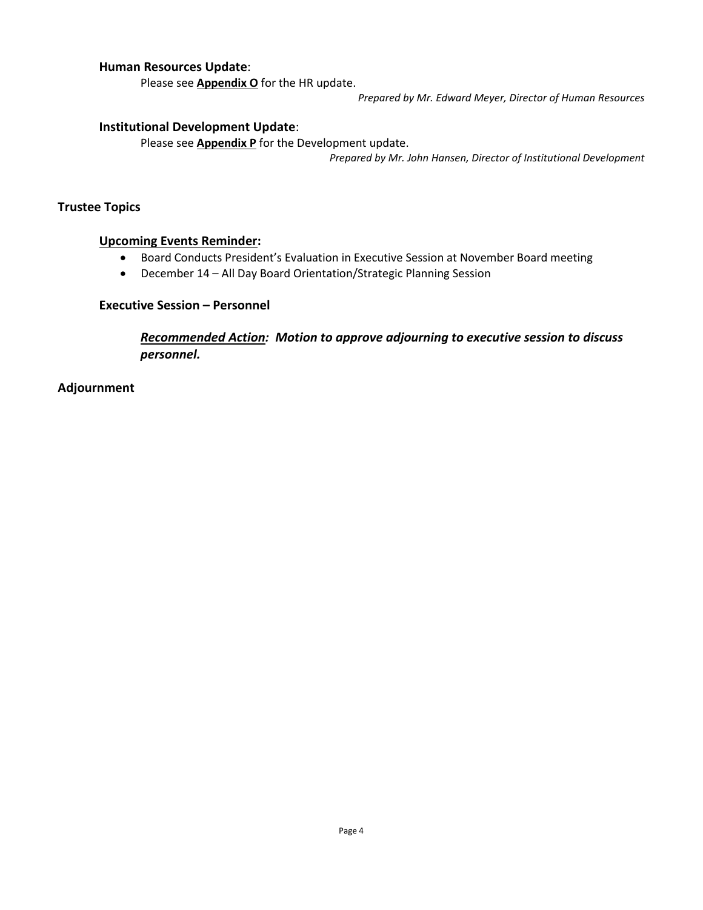### **Human Resources Update**:

Please see **Appendix O** for the HR update.

*Prepared by Mr. Edward Meyer, Director of Human Resources*

### **Institutional Development Update**:

Please see **Appendix P** for the Development update.

*Prepared by Mr. John Hansen, Director of Institutional Development*

### **Trustee Topics**

### **Upcoming Events Reminder:**

- Board Conducts President's Evaluation in Executive Session at November Board meeting
- December 14 All Day Board Orientation/Strategic Planning Session

### **Executive Session – Personnel**

*Recommended Action: Motion to approve adjourning to executive session to discuss personnel.*

**Adjournment**